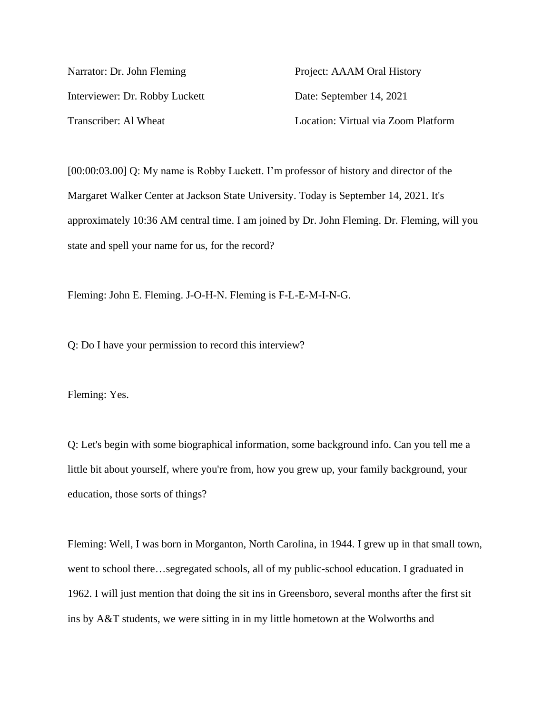Narrator: Dr. John Fleming Project: AAAM Oral History Interviewer: Dr. Robby Luckett Date: September 14, 2021 Transcriber: Al Wheat Location: Virtual via Zoom Platform

[00:00:03.00] Q: My name is Robby Luckett. I'm professor of history and director of the Margaret Walker Center at Jackson State University. Today is September 14, 2021. It's approximately 10:36 AM central time. I am joined by Dr. John Fleming. Dr. Fleming, will you state and spell your name for us, for the record?

Fleming: John E. Fleming. J-O-H-N. Fleming is F-L-E-M-I-N-G.

Q: Do I have your permission to record this interview?

Fleming: Yes.

Q: Let's begin with some biographical information, some background info. Can you tell me a little bit about yourself, where you're from, how you grew up, your family background, your education, those sorts of things?

Fleming: Well, I was born in Morganton, North Carolina, in 1944. I grew up in that small town, went to school there…segregated schools, all of my public-school education. I graduated in 1962. I will just mention that doing the sit ins in Greensboro, several months after the first sit ins by A&T students, we were sitting in in my little hometown at the Wolworths and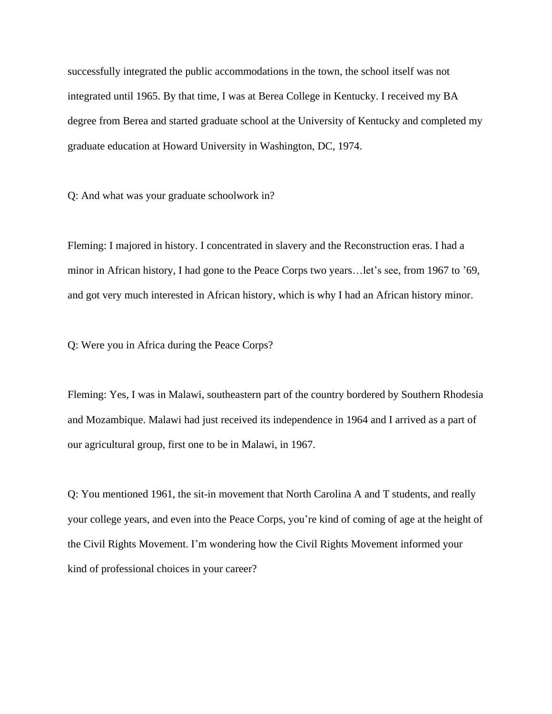successfully integrated the public accommodations in the town, the school itself was not integrated until 1965. By that time, I was at Berea College in Kentucky. I received my BA degree from Berea and started graduate school at the University of Kentucky and completed my graduate education at Howard University in Washington, DC, 1974.

Q: And what was your graduate schoolwork in?

Fleming: I majored in history. I concentrated in slavery and the Reconstruction eras. I had a minor in African history, I had gone to the Peace Corps two years…let's see, from 1967 to '69, and got very much interested in African history, which is why I had an African history minor.

Q: Were you in Africa during the Peace Corps?

Fleming: Yes, I was in Malawi, southeastern part of the country bordered by Southern Rhodesia and Mozambique. Malawi had just received its independence in 1964 and I arrived as a part of our agricultural group, first one to be in Malawi, in 1967.

Q: You mentioned 1961, the sit-in movement that North Carolina A and T students, and really your college years, and even into the Peace Corps, you're kind of coming of age at the height of the Civil Rights Movement. I'm wondering how the Civil Rights Movement informed your kind of professional choices in your career?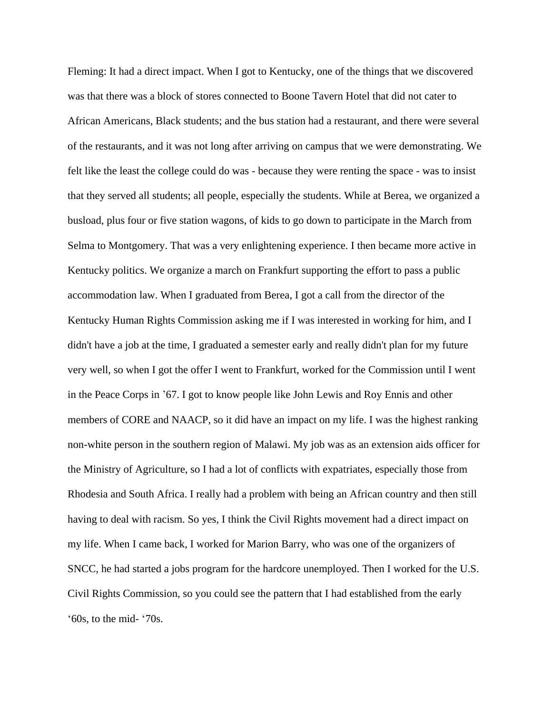Fleming: It had a direct impact. When I got to Kentucky, one of the things that we discovered was that there was a block of stores connected to Boone Tavern Hotel that did not cater to African Americans, Black students; and the bus station had a restaurant, and there were several of the restaurants, and it was not long after arriving on campus that we were demonstrating. We felt like the least the college could do was - because they were renting the space - was to insist that they served all students; all people, especially the students. While at Berea, we organized a busload, plus four or five station wagons, of kids to go down to participate in the March from Selma to Montgomery. That was a very enlightening experience. I then became more active in Kentucky politics. We organize a march on Frankfurt supporting the effort to pass a public accommodation law. When I graduated from Berea, I got a call from the director of the Kentucky Human Rights Commission asking me if I was interested in working for him, and I didn't have a job at the time, I graduated a semester early and really didn't plan for my future very well, so when I got the offer I went to Frankfurt, worked for the Commission until I went in the Peace Corps in '67. I got to know people like John Lewis and Roy Ennis and other members of CORE and NAACP, so it did have an impact on my life. I was the highest ranking non-white person in the southern region of Malawi. My job was as an extension aids officer for the Ministry of Agriculture, so I had a lot of conflicts with expatriates, especially those from Rhodesia and South Africa. I really had a problem with being an African country and then still having to deal with racism. So yes, I think the Civil Rights movement had a direct impact on my life. When I came back, I worked for Marion Barry, who was one of the organizers of SNCC, he had started a jobs program for the hardcore unemployed. Then I worked for the U.S. Civil Rights Commission, so you could see the pattern that I had established from the early '60s, to the mid- '70s.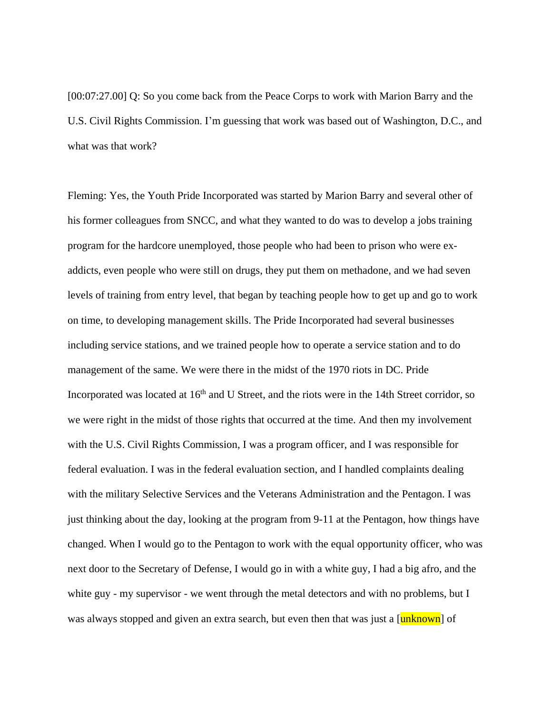[00:07:27.00] Q: So you come back from the Peace Corps to work with Marion Barry and the U.S. Civil Rights Commission. I'm guessing that work was based out of Washington, D.C., and what was that work?

Fleming: Yes, the Youth Pride Incorporated was started by Marion Barry and several other of his former colleagues from SNCC, and what they wanted to do was to develop a jobs training program for the hardcore unemployed, those people who had been to prison who were exaddicts, even people who were still on drugs, they put them on methadone, and we had seven levels of training from entry level, that began by teaching people how to get up and go to work on time, to developing management skills. The Pride Incorporated had several businesses including service stations, and we trained people how to operate a service station and to do management of the same. We were there in the midst of the 1970 riots in DC. Pride Incorporated was located at  $16<sup>th</sup>$  and U Street, and the riots were in the 14th Street corridor, so we were right in the midst of those rights that occurred at the time. And then my involvement with the U.S. Civil Rights Commission, I was a program officer, and I was responsible for federal evaluation. I was in the federal evaluation section, and I handled complaints dealing with the military Selective Services and the Veterans Administration and the Pentagon. I was just thinking about the day, looking at the program from 9-11 at the Pentagon, how things have changed. When I would go to the Pentagon to work with the equal opportunity officer, who was next door to the Secretary of Defense, I would go in with a white guy, I had a big afro, and the white guy - my supervisor - we went through the metal detectors and with no problems, but I was always stopped and given an extra search, but even then that was just a [unknown] of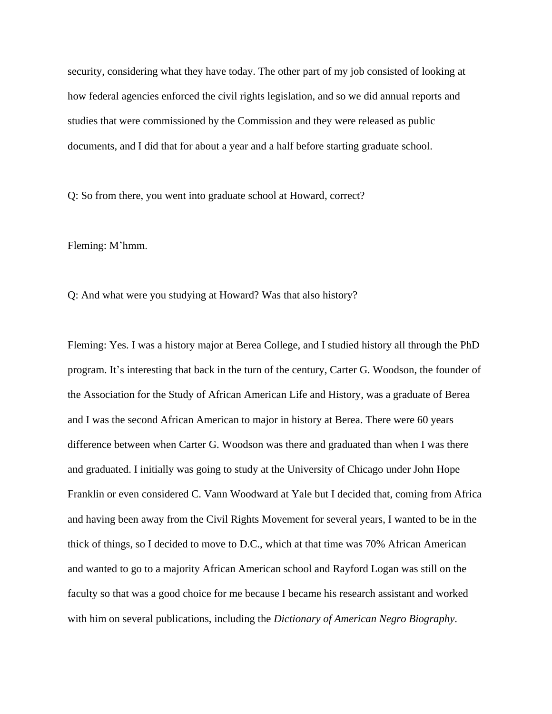security, considering what they have today. The other part of my job consisted of looking at how federal agencies enforced the civil rights legislation, and so we did annual reports and studies that were commissioned by the Commission and they were released as public documents, and I did that for about a year and a half before starting graduate school.

Q: So from there, you went into graduate school at Howard, correct?

Fleming: M'hmm.

Q: And what were you studying at Howard? Was that also history?

Fleming: Yes. I was a history major at Berea College, and I studied history all through the PhD program. It's interesting that back in the turn of the century, Carter G. Woodson, the founder of the Association for the Study of African American Life and History, was a graduate of Berea and I was the second African American to major in history at Berea. There were 60 years difference between when Carter G. Woodson was there and graduated than when I was there and graduated. I initially was going to study at the University of Chicago under John Hope Franklin or even considered C. Vann Woodward at Yale but I decided that, coming from Africa and having been away from the Civil Rights Movement for several years, I wanted to be in the thick of things, so I decided to move to D.C., which at that time was 70% African American and wanted to go to a majority African American school and Rayford Logan was still on the faculty so that was a good choice for me because I became his research assistant and worked with him on several publications, including the *Dictionary of American Negro Biography*.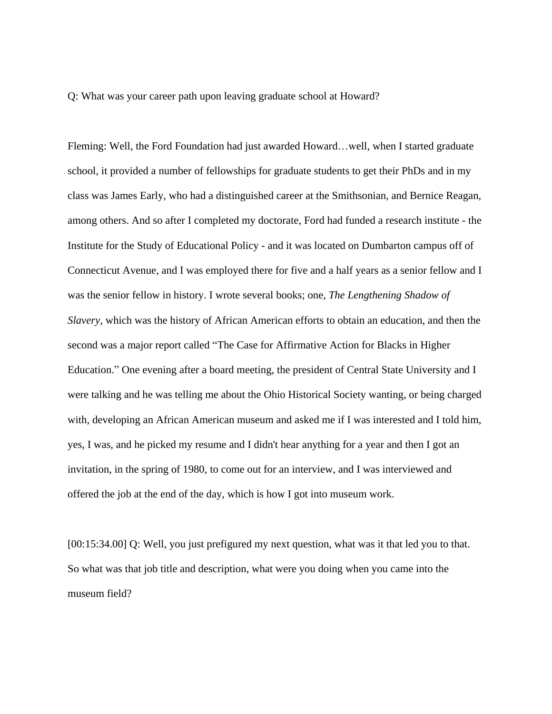Q: What was your career path upon leaving graduate school at Howard?

Fleming: Well, the Ford Foundation had just awarded Howard…well, when I started graduate school, it provided a number of fellowships for graduate students to get their PhDs and in my class was James Early, who had a distinguished career at the Smithsonian, and Bernice Reagan, among others. And so after I completed my doctorate, Ford had funded a research institute - the Institute for the Study of Educational Policy - and it was located on Dumbarton campus off of Connecticut Avenue, and I was employed there for five and a half years as a senior fellow and I was the senior fellow in history. I wrote several books; one, *The Lengthening Shadow of Slavery*, which was the history of African American efforts to obtain an education, and then the second was a major report called "The Case for Affirmative Action for Blacks in Higher Education." One evening after a board meeting, the president of Central State University and I were talking and he was telling me about the Ohio Historical Society wanting, or being charged with, developing an African American museum and asked me if I was interested and I told him, yes, I was, and he picked my resume and I didn't hear anything for a year and then I got an invitation, in the spring of 1980, to come out for an interview, and I was interviewed and offered the job at the end of the day, which is how I got into museum work.

[00:15:34.00] Q: Well, you just prefigured my next question, what was it that led you to that. So what was that job title and description, what were you doing when you came into the museum field?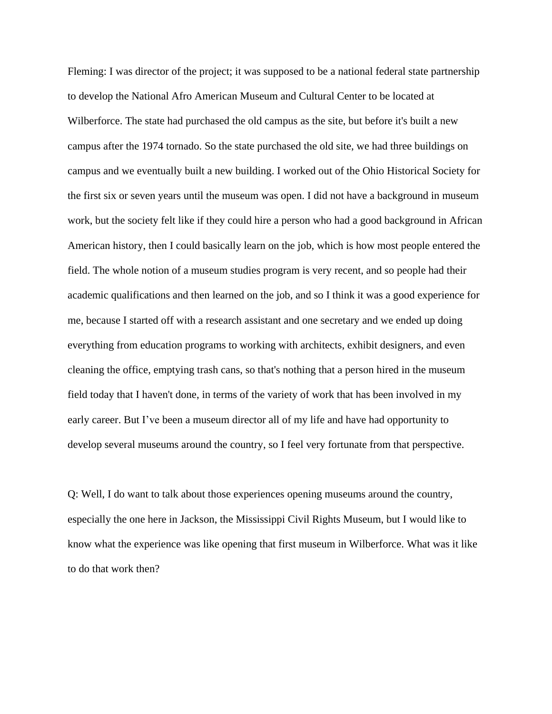Fleming: I was director of the project; it was supposed to be a national federal state partnership to develop the National Afro American Museum and Cultural Center to be located at Wilberforce. The state had purchased the old campus as the site, but before it's built a new campus after the 1974 tornado. So the state purchased the old site, we had three buildings on campus and we eventually built a new building. I worked out of the Ohio Historical Society for the first six or seven years until the museum was open. I did not have a background in museum work, but the society felt like if they could hire a person who had a good background in African American history, then I could basically learn on the job, which is how most people entered the field. The whole notion of a museum studies program is very recent, and so people had their academic qualifications and then learned on the job, and so I think it was a good experience for me, because I started off with a research assistant and one secretary and we ended up doing everything from education programs to working with architects, exhibit designers, and even cleaning the office, emptying trash cans, so that's nothing that a person hired in the museum field today that I haven't done, in terms of the variety of work that has been involved in my early career. But I've been a museum director all of my life and have had opportunity to develop several museums around the country, so I feel very fortunate from that perspective.

Q: Well, I do want to talk about those experiences opening museums around the country, especially the one here in Jackson, the Mississippi Civil Rights Museum, but I would like to know what the experience was like opening that first museum in Wilberforce. What was it like to do that work then?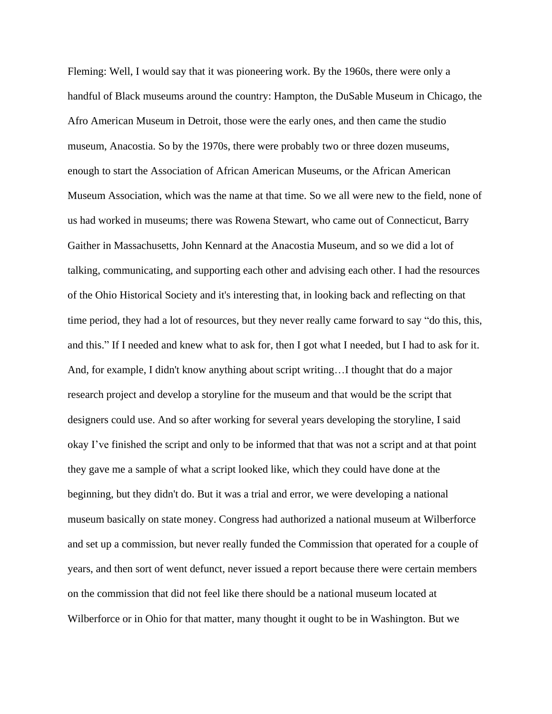Fleming: Well, I would say that it was pioneering work. By the 1960s, there were only a handful of Black museums around the country: Hampton, the DuSable Museum in Chicago, the Afro American Museum in Detroit, those were the early ones, and then came the studio museum, Anacostia. So by the 1970s, there were probably two or three dozen museums, enough to start the Association of African American Museums, or the African American Museum Association, which was the name at that time. So we all were new to the field, none of us had worked in museums; there was Rowena Stewart, who came out of Connecticut, Barry Gaither in Massachusetts, John Kennard at the Anacostia Museum, and so we did a lot of talking, communicating, and supporting each other and advising each other. I had the resources of the Ohio Historical Society and it's interesting that, in looking back and reflecting on that time period, they had a lot of resources, but they never really came forward to say "do this, this, and this." If I needed and knew what to ask for, then I got what I needed, but I had to ask for it. And, for example, I didn't know anything about script writing…I thought that do a major research project and develop a storyline for the museum and that would be the script that designers could use. And so after working for several years developing the storyline, I said okay I've finished the script and only to be informed that that was not a script and at that point they gave me a sample of what a script looked like, which they could have done at the beginning, but they didn't do. But it was a trial and error, we were developing a national museum basically on state money. Congress had authorized a national museum at Wilberforce and set up a commission, but never really funded the Commission that operated for a couple of years, and then sort of went defunct, never issued a report because there were certain members on the commission that did not feel like there should be a national museum located at Wilberforce or in Ohio for that matter, many thought it ought to be in Washington. But we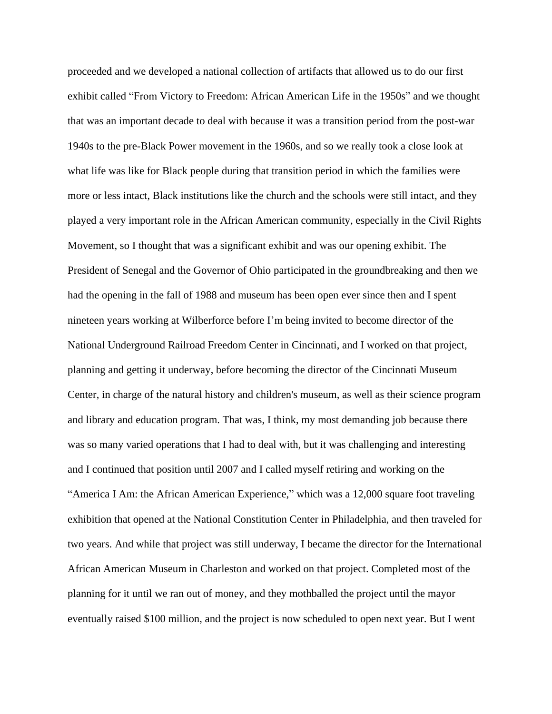proceeded and we developed a national collection of artifacts that allowed us to do our first exhibit called "From Victory to Freedom: African American Life in the 1950s" and we thought that was an important decade to deal with because it was a transition period from the post-war 1940s to the pre-Black Power movement in the 1960s, and so we really took a close look at what life was like for Black people during that transition period in which the families were more or less intact, Black institutions like the church and the schools were still intact, and they played a very important role in the African American community, especially in the Civil Rights Movement, so I thought that was a significant exhibit and was our opening exhibit. The President of Senegal and the Governor of Ohio participated in the groundbreaking and then we had the opening in the fall of 1988 and museum has been open ever since then and I spent nineteen years working at Wilberforce before I'm being invited to become director of the National Underground Railroad Freedom Center in Cincinnati, and I worked on that project, planning and getting it underway, before becoming the director of the Cincinnati Museum Center, in charge of the natural history and children's museum, as well as their science program and library and education program. That was, I think, my most demanding job because there was so many varied operations that I had to deal with, but it was challenging and interesting and I continued that position until 2007 and I called myself retiring and working on the "America I Am: the African American Experience," which was a 12,000 square foot traveling exhibition that opened at the National Constitution Center in Philadelphia, and then traveled for two years. And while that project was still underway, I became the director for the International African American Museum in Charleston and worked on that project. Completed most of the planning for it until we ran out of money, and they mothballed the project until the mayor eventually raised \$100 million, and the project is now scheduled to open next year. But I went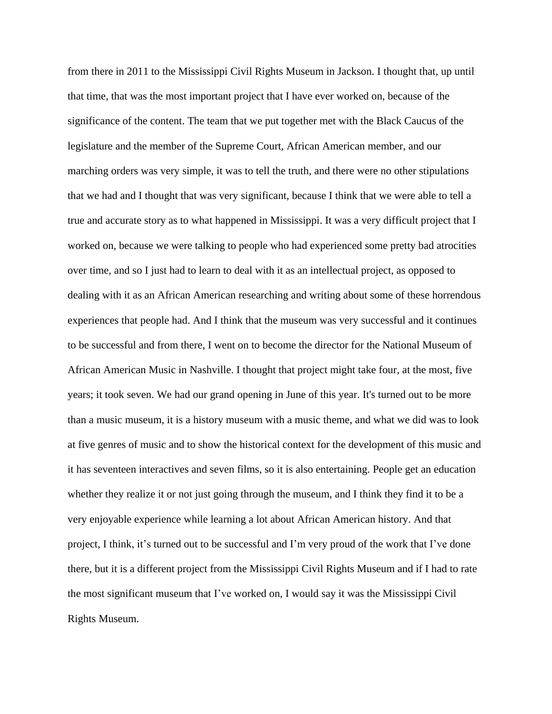from there in 2011 to the Mississippi Civil Rights Museum in Jackson. I thought that, up until that time, that was the most important project that I have ever worked on, because of the significance of the content. The team that we put together met with the Black Caucus of the legislature and the member of the Supreme Court, African American member, and our marching orders was very simple, it was to tell the truth, and there were no other stipulations that we had and I thought that was very significant, because I think that we were able to tell a true and accurate story as to what happened in Mississippi. It was a very difficult project that I worked on, because we were talking to people who had experienced some pretty bad atrocities over time, and so I just had to learn to deal with it as an intellectual project, as opposed to dealing with it as an African American researching and writing about some of these horrendous experiences that people had. And I think that the museum was very successful and it continues to be successful and from there, I went on to become the director for the National Museum of African American Music in Nashville. I thought that project might take four, at the most, five years; it took seven. We had our grand opening in June of this year. It's turned out to be more than a music museum, it is a history museum with a music theme, and what we did was to look at five genres of music and to show the historical context for the development of this music and it has seventeen interactives and seven films, so it is also entertaining. People get an education whether they realize it or not just going through the museum, and I think they find it to be a very enjoyable experience while learning a lot about African American history. And that project, I think, it's turned out to be successful and I'm very proud of the work that I've done there, but it is a different project from the Mississippi Civil Rights Museum and if I had to rate the most significant museum that I've worked on, I would say it was the Mississippi Civil Rights Museum.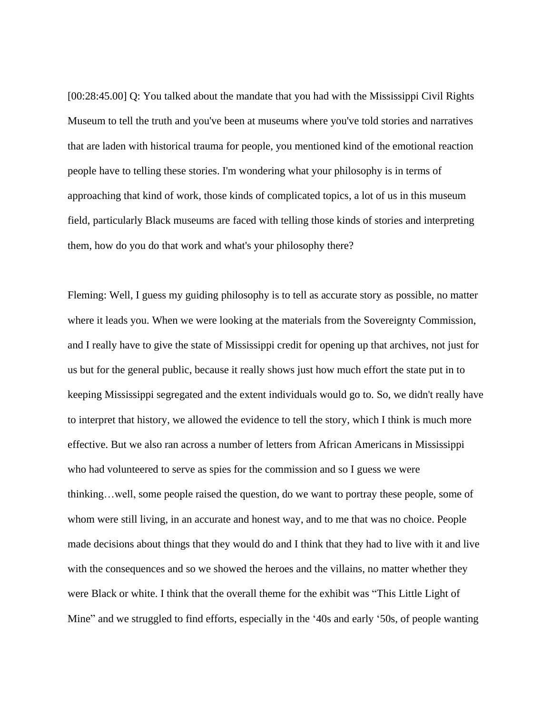[00:28:45.00] Q: You talked about the mandate that you had with the Mississippi Civil Rights Museum to tell the truth and you've been at museums where you've told stories and narratives that are laden with historical trauma for people, you mentioned kind of the emotional reaction people have to telling these stories. I'm wondering what your philosophy is in terms of approaching that kind of work, those kinds of complicated topics, a lot of us in this museum field, particularly Black museums are faced with telling those kinds of stories and interpreting them, how do you do that work and what's your philosophy there?

Fleming: Well, I guess my guiding philosophy is to tell as accurate story as possible, no matter where it leads you. When we were looking at the materials from the Sovereignty Commission, and I really have to give the state of Mississippi credit for opening up that archives, not just for us but for the general public, because it really shows just how much effort the state put in to keeping Mississippi segregated and the extent individuals would go to. So, we didn't really have to interpret that history, we allowed the evidence to tell the story, which I think is much more effective. But we also ran across a number of letters from African Americans in Mississippi who had volunteered to serve as spies for the commission and so I guess we were thinking…well, some people raised the question, do we want to portray these people, some of whom were still living, in an accurate and honest way, and to me that was no choice. People made decisions about things that they would do and I think that they had to live with it and live with the consequences and so we showed the heroes and the villains, no matter whether they were Black or white. I think that the overall theme for the exhibit was "This Little Light of Mine" and we struggled to find efforts, especially in the '40s and early '50s, of people wanting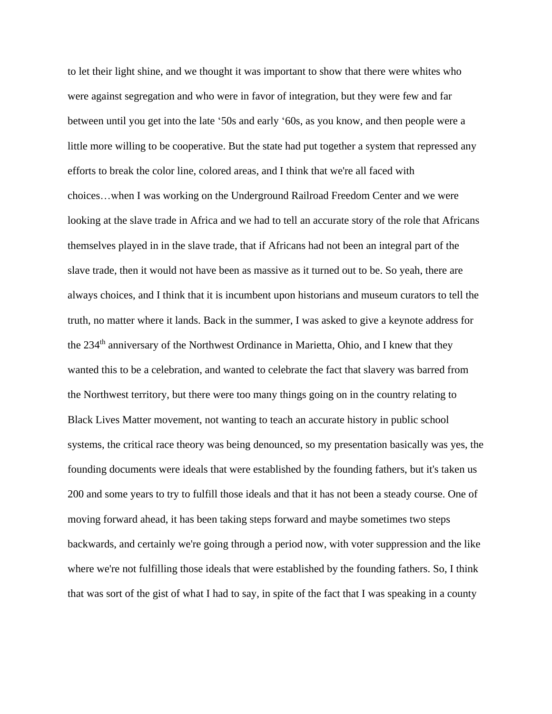to let their light shine, and we thought it was important to show that there were whites who were against segregation and who were in favor of integration, but they were few and far between until you get into the late '50s and early '60s, as you know, and then people were a little more willing to be cooperative. But the state had put together a system that repressed any efforts to break the color line, colored areas, and I think that we're all faced with choices…when I was working on the Underground Railroad Freedom Center and we were looking at the slave trade in Africa and we had to tell an accurate story of the role that Africans themselves played in in the slave trade, that if Africans had not been an integral part of the slave trade, then it would not have been as massive as it turned out to be. So yeah, there are always choices, and I think that it is incumbent upon historians and museum curators to tell the truth, no matter where it lands. Back in the summer, I was asked to give a keynote address for the 234<sup>th</sup> anniversary of the Northwest Ordinance in Marietta, Ohio, and I knew that they wanted this to be a celebration, and wanted to celebrate the fact that slavery was barred from the Northwest territory, but there were too many things going on in the country relating to Black Lives Matter movement, not wanting to teach an accurate history in public school systems, the critical race theory was being denounced, so my presentation basically was yes, the founding documents were ideals that were established by the founding fathers, but it's taken us 200 and some years to try to fulfill those ideals and that it has not been a steady course. One of moving forward ahead, it has been taking steps forward and maybe sometimes two steps backwards, and certainly we're going through a period now, with voter suppression and the like where we're not fulfilling those ideals that were established by the founding fathers. So, I think that was sort of the gist of what I had to say, in spite of the fact that I was speaking in a county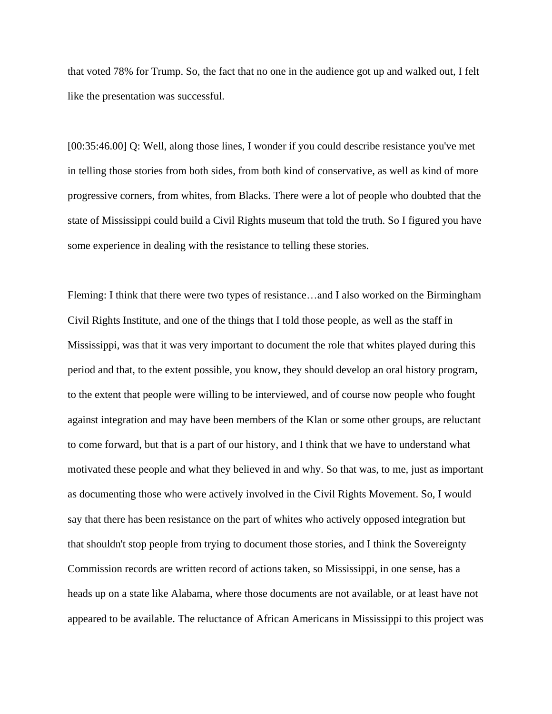that voted 78% for Trump. So, the fact that no one in the audience got up and walked out, I felt like the presentation was successful.

[00:35:46.00] Q: Well, along those lines, I wonder if you could describe resistance you've met in telling those stories from both sides, from both kind of conservative, as well as kind of more progressive corners, from whites, from Blacks. There were a lot of people who doubted that the state of Mississippi could build a Civil Rights museum that told the truth. So I figured you have some experience in dealing with the resistance to telling these stories.

Fleming: I think that there were two types of resistance…and I also worked on the Birmingham Civil Rights Institute, and one of the things that I told those people, as well as the staff in Mississippi, was that it was very important to document the role that whites played during this period and that, to the extent possible, you know, they should develop an oral history program, to the extent that people were willing to be interviewed, and of course now people who fought against integration and may have been members of the Klan or some other groups, are reluctant to come forward, but that is a part of our history, and I think that we have to understand what motivated these people and what they believed in and why. So that was, to me, just as important as documenting those who were actively involved in the Civil Rights Movement. So, I would say that there has been resistance on the part of whites who actively opposed integration but that shouldn't stop people from trying to document those stories, and I think the Sovereignty Commission records are written record of actions taken, so Mississippi, in one sense, has a heads up on a state like Alabama, where those documents are not available, or at least have not appeared to be available. The reluctance of African Americans in Mississippi to this project was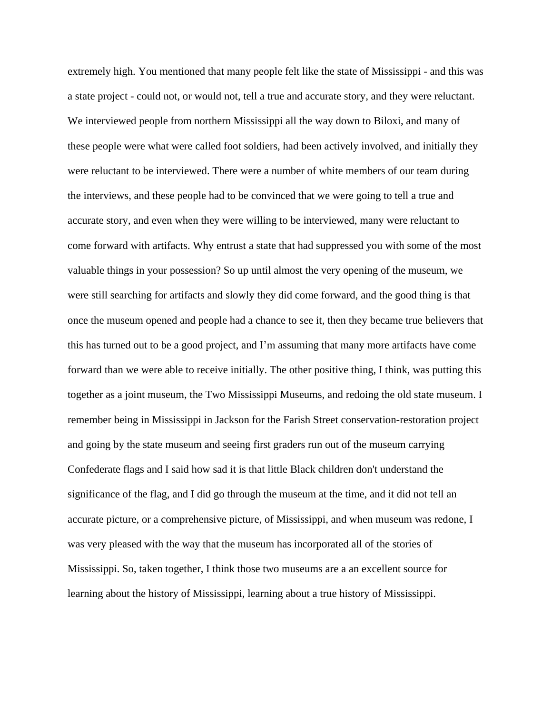extremely high. You mentioned that many people felt like the state of Mississippi - and this was a state project - could not, or would not, tell a true and accurate story, and they were reluctant. We interviewed people from northern Mississippi all the way down to Biloxi, and many of these people were what were called foot soldiers, had been actively involved, and initially they were reluctant to be interviewed. There were a number of white members of our team during the interviews, and these people had to be convinced that we were going to tell a true and accurate story, and even when they were willing to be interviewed, many were reluctant to come forward with artifacts. Why entrust a state that had suppressed you with some of the most valuable things in your possession? So up until almost the very opening of the museum, we were still searching for artifacts and slowly they did come forward, and the good thing is that once the museum opened and people had a chance to see it, then they became true believers that this has turned out to be a good project, and I'm assuming that many more artifacts have come forward than we were able to receive initially. The other positive thing, I think, was putting this together as a joint museum, the Two Mississippi Museums, and redoing the old state museum. I remember being in Mississippi in Jackson for the Farish Street conservation-restoration project and going by the state museum and seeing first graders run out of the museum carrying Confederate flags and I said how sad it is that little Black children don't understand the significance of the flag, and I did go through the museum at the time, and it did not tell an accurate picture, or a comprehensive picture, of Mississippi, and when museum was redone, I was very pleased with the way that the museum has incorporated all of the stories of Mississippi. So, taken together, I think those two museums are a an excellent source for learning about the history of Mississippi, learning about a true history of Mississippi.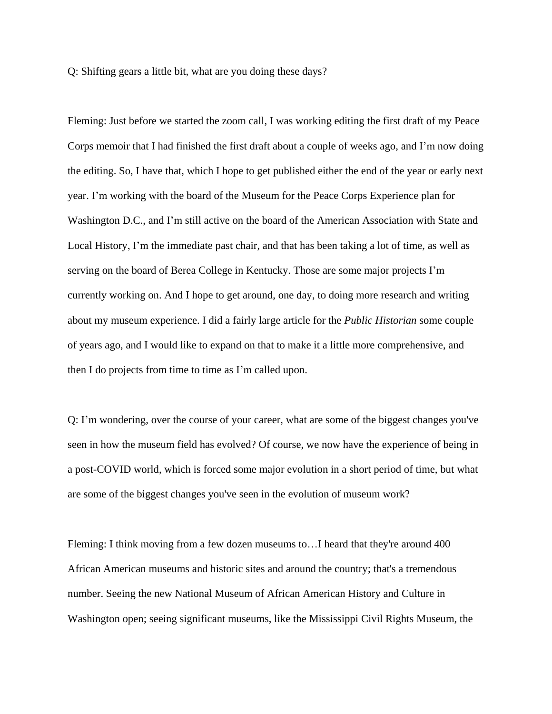Q: Shifting gears a little bit, what are you doing these days?

Fleming: Just before we started the zoom call, I was working editing the first draft of my Peace Corps memoir that I had finished the first draft about a couple of weeks ago, and I'm now doing the editing. So, I have that, which I hope to get published either the end of the year or early next year. I'm working with the board of the Museum for the Peace Corps Experience plan for Washington D.C., and I'm still active on the board of the American Association with State and Local History, I'm the immediate past chair, and that has been taking a lot of time, as well as serving on the board of Berea College in Kentucky. Those are some major projects I'm currently working on. And I hope to get around, one day, to doing more research and writing about my museum experience. I did a fairly large article for the *Public Historian* some couple of years ago, and I would like to expand on that to make it a little more comprehensive, and then I do projects from time to time as I'm called upon.

Q: I'm wondering, over the course of your career, what are some of the biggest changes you've seen in how the museum field has evolved? Of course, we now have the experience of being in a post-COVID world, which is forced some major evolution in a short period of time, but what are some of the biggest changes you've seen in the evolution of museum work?

Fleming: I think moving from a few dozen museums to…I heard that they're around 400 African American museums and historic sites and around the country; that's a tremendous number. Seeing the new National Museum of African American History and Culture in Washington open; seeing significant museums, like the Mississippi Civil Rights Museum, the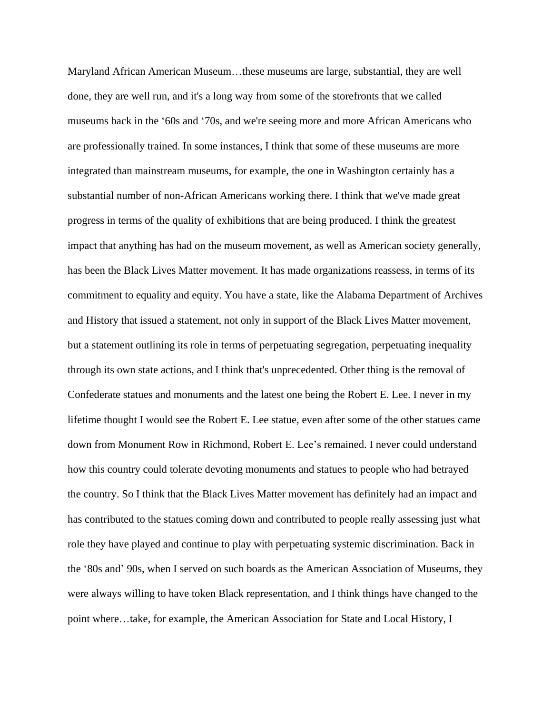Maryland African American Museum…these museums are large, substantial, they are well done, they are well run, and it's a long way from some of the storefronts that we called museums back in the '60s and '70s, and we're seeing more and more African Americans who are professionally trained. In some instances, I think that some of these museums are more integrated than mainstream museums, for example, the one in Washington certainly has a substantial number of non-African Americans working there. I think that we've made great progress in terms of the quality of exhibitions that are being produced. I think the greatest impact that anything has had on the museum movement, as well as American society generally, has been the Black Lives Matter movement. It has made organizations reassess, in terms of its commitment to equality and equity. You have a state, like the Alabama Department of Archives and History that issued a statement, not only in support of the Black Lives Matter movement, but a statement outlining its role in terms of perpetuating segregation, perpetuating inequality through its own state actions, and I think that's unprecedented. Other thing is the removal of Confederate statues and monuments and the latest one being the Robert E. Lee. I never in my lifetime thought I would see the Robert E. Lee statue, even after some of the other statues came down from Monument Row in Richmond, Robert E. Lee's remained. I never could understand how this country could tolerate devoting monuments and statues to people who had betrayed the country. So I think that the Black Lives Matter movement has definitely had an impact and has contributed to the statues coming down and contributed to people really assessing just what role they have played and continue to play with perpetuating systemic discrimination. Back in the '80s and' 90s, when I served on such boards as the American Association of Museums, they were always willing to have token Black representation, and I think things have changed to the point where…take, for example, the American Association for State and Local History, I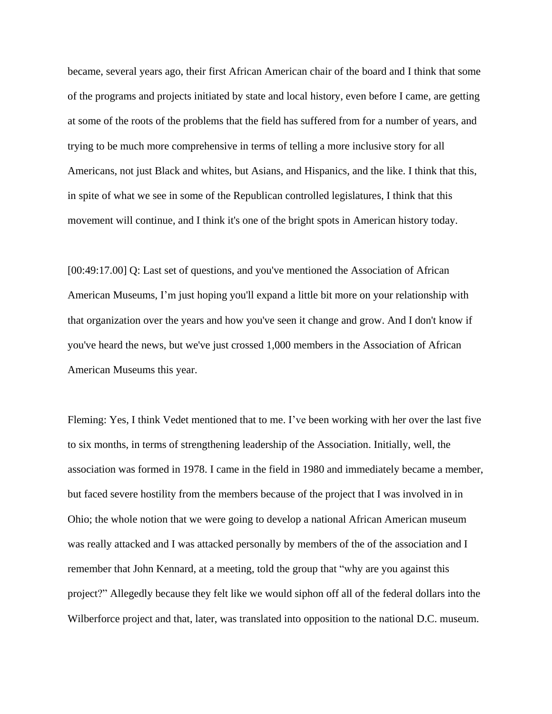became, several years ago, their first African American chair of the board and I think that some of the programs and projects initiated by state and local history, even before I came, are getting at some of the roots of the problems that the field has suffered from for a number of years, and trying to be much more comprehensive in terms of telling a more inclusive story for all Americans, not just Black and whites, but Asians, and Hispanics, and the like. I think that this, in spite of what we see in some of the Republican controlled legislatures, I think that this movement will continue, and I think it's one of the bright spots in American history today.

[00:49:17.00] Q: Last set of questions, and you've mentioned the Association of African American Museums, I'm just hoping you'll expand a little bit more on your relationship with that organization over the years and how you've seen it change and grow. And I don't know if you've heard the news, but we've just crossed 1,000 members in the Association of African American Museums this year.

Fleming: Yes, I think Vedet mentioned that to me. I've been working with her over the last five to six months, in terms of strengthening leadership of the Association. Initially, well, the association was formed in 1978. I came in the field in 1980 and immediately became a member, but faced severe hostility from the members because of the project that I was involved in in Ohio; the whole notion that we were going to develop a national African American museum was really attacked and I was attacked personally by members of the of the association and I remember that John Kennard, at a meeting, told the group that "why are you against this project?" Allegedly because they felt like we would siphon off all of the federal dollars into the Wilberforce project and that, later, was translated into opposition to the national D.C. museum.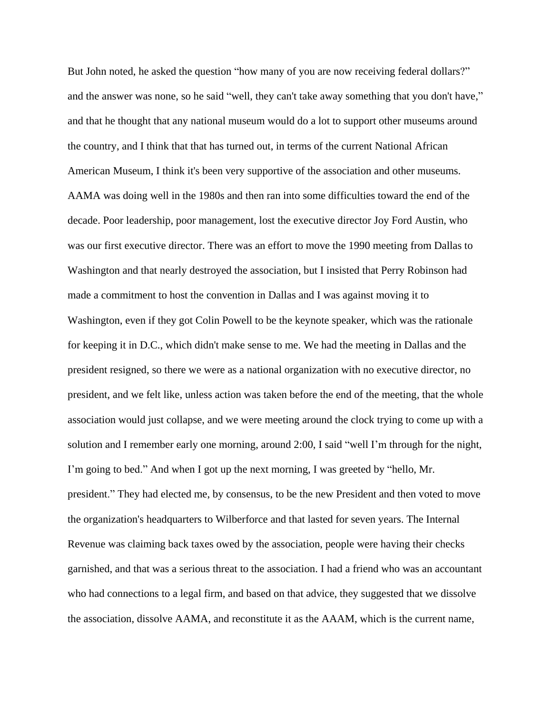But John noted, he asked the question "how many of you are now receiving federal dollars?" and the answer was none, so he said "well, they can't take away something that you don't have," and that he thought that any national museum would do a lot to support other museums around the country, and I think that that has turned out, in terms of the current National African American Museum, I think it's been very supportive of the association and other museums. AAMA was doing well in the 1980s and then ran into some difficulties toward the end of the decade. Poor leadership, poor management, lost the executive director Joy Ford Austin, who was our first executive director. There was an effort to move the 1990 meeting from Dallas to Washington and that nearly destroyed the association, but I insisted that Perry Robinson had made a commitment to host the convention in Dallas and I was against moving it to Washington, even if they got Colin Powell to be the keynote speaker, which was the rationale for keeping it in D.C., which didn't make sense to me. We had the meeting in Dallas and the president resigned, so there we were as a national organization with no executive director, no president, and we felt like, unless action was taken before the end of the meeting, that the whole association would just collapse, and we were meeting around the clock trying to come up with a solution and I remember early one morning, around 2:00, I said "well I'm through for the night, I'm going to bed." And when I got up the next morning, I was greeted by "hello, Mr. president." They had elected me, by consensus, to be the new President and then voted to move the organization's headquarters to Wilberforce and that lasted for seven years. The Internal Revenue was claiming back taxes owed by the association, people were having their checks garnished, and that was a serious threat to the association. I had a friend who was an accountant who had connections to a legal firm, and based on that advice, they suggested that we dissolve the association, dissolve AAMA, and reconstitute it as the AAAM, which is the current name,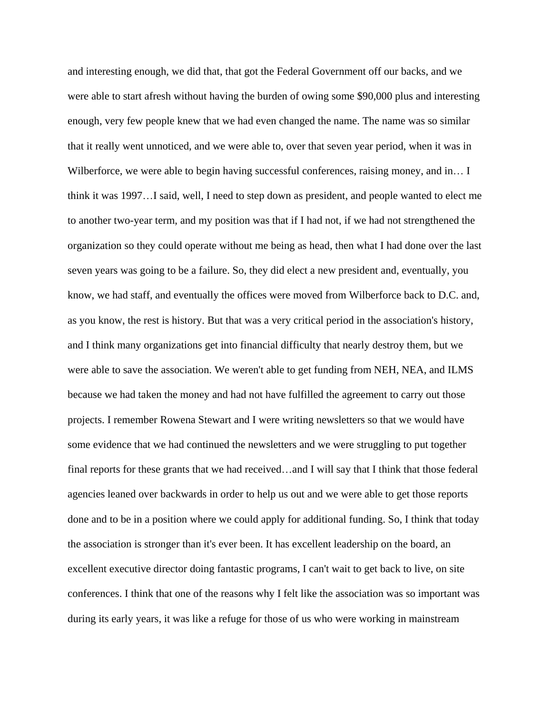and interesting enough, we did that, that got the Federal Government off our backs, and we were able to start afresh without having the burden of owing some \$90,000 plus and interesting enough, very few people knew that we had even changed the name. The name was so similar that it really went unnoticed, and we were able to, over that seven year period, when it was in Wilberforce, we were able to begin having successful conferences, raising money, and in... I think it was 1997…I said, well, I need to step down as president, and people wanted to elect me to another two-year term, and my position was that if I had not, if we had not strengthened the organization so they could operate without me being as head, then what I had done over the last seven years was going to be a failure. So, they did elect a new president and, eventually, you know, we had staff, and eventually the offices were moved from Wilberforce back to D.C. and, as you know, the rest is history. But that was a very critical period in the association's history, and I think many organizations get into financial difficulty that nearly destroy them, but we were able to save the association. We weren't able to get funding from NEH, NEA, and ILMS because we had taken the money and had not have fulfilled the agreement to carry out those projects. I remember Rowena Stewart and I were writing newsletters so that we would have some evidence that we had continued the newsletters and we were struggling to put together final reports for these grants that we had received…and I will say that I think that those federal agencies leaned over backwards in order to help us out and we were able to get those reports done and to be in a position where we could apply for additional funding. So, I think that today the association is stronger than it's ever been. It has excellent leadership on the board, an excellent executive director doing fantastic programs, I can't wait to get back to live, on site conferences. I think that one of the reasons why I felt like the association was so important was during its early years, it was like a refuge for those of us who were working in mainstream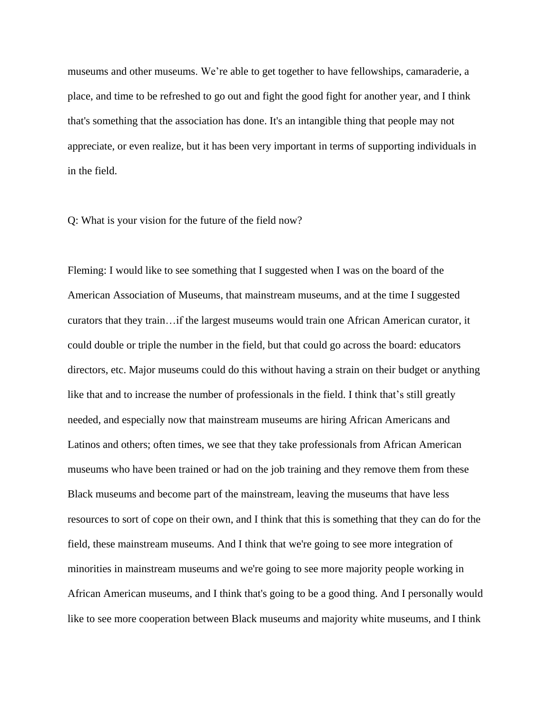museums and other museums. We're able to get together to have fellowships, camaraderie, a place, and time to be refreshed to go out and fight the good fight for another year, and I think that's something that the association has done. It's an intangible thing that people may not appreciate, or even realize, but it has been very important in terms of supporting individuals in in the field.

Q: What is your vision for the future of the field now?

Fleming: I would like to see something that I suggested when I was on the board of the American Association of Museums, that mainstream museums, and at the time I suggested curators that they train…if the largest museums would train one African American curator, it could double or triple the number in the field, but that could go across the board: educators directors, etc. Major museums could do this without having a strain on their budget or anything like that and to increase the number of professionals in the field. I think that's still greatly needed, and especially now that mainstream museums are hiring African Americans and Latinos and others; often times, we see that they take professionals from African American museums who have been trained or had on the job training and they remove them from these Black museums and become part of the mainstream, leaving the museums that have less resources to sort of cope on their own, and I think that this is something that they can do for the field, these mainstream museums. And I think that we're going to see more integration of minorities in mainstream museums and we're going to see more majority people working in African American museums, and I think that's going to be a good thing. And I personally would like to see more cooperation between Black museums and majority white museums, and I think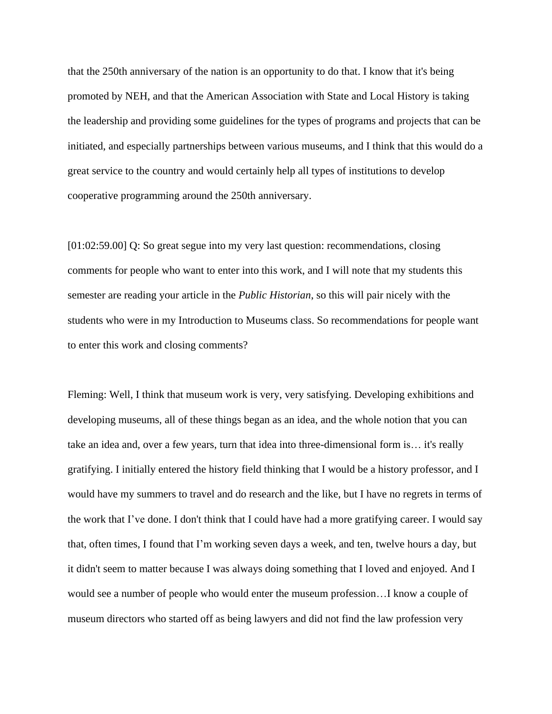that the 250th anniversary of the nation is an opportunity to do that. I know that it's being promoted by NEH, and that the American Association with State and Local History is taking the leadership and providing some guidelines for the types of programs and projects that can be initiated, and especially partnerships between various museums, and I think that this would do a great service to the country and would certainly help all types of institutions to develop cooperative programming around the 250th anniversary.

[01:02:59.00] Q: So great segue into my very last question: recommendations, closing comments for people who want to enter into this work, and I will note that my students this semester are reading your article in the *Public Historian*, so this will pair nicely with the students who were in my Introduction to Museums class. So recommendations for people want to enter this work and closing comments?

Fleming: Well, I think that museum work is very, very satisfying. Developing exhibitions and developing museums, all of these things began as an idea, and the whole notion that you can take an idea and, over a few years, turn that idea into three-dimensional form is… it's really gratifying. I initially entered the history field thinking that I would be a history professor, and I would have my summers to travel and do research and the like, but I have no regrets in terms of the work that I've done. I don't think that I could have had a more gratifying career. I would say that, often times, I found that I'm working seven days a week, and ten, twelve hours a day, but it didn't seem to matter because I was always doing something that I loved and enjoyed. And I would see a number of people who would enter the museum profession…I know a couple of museum directors who started off as being lawyers and did not find the law profession very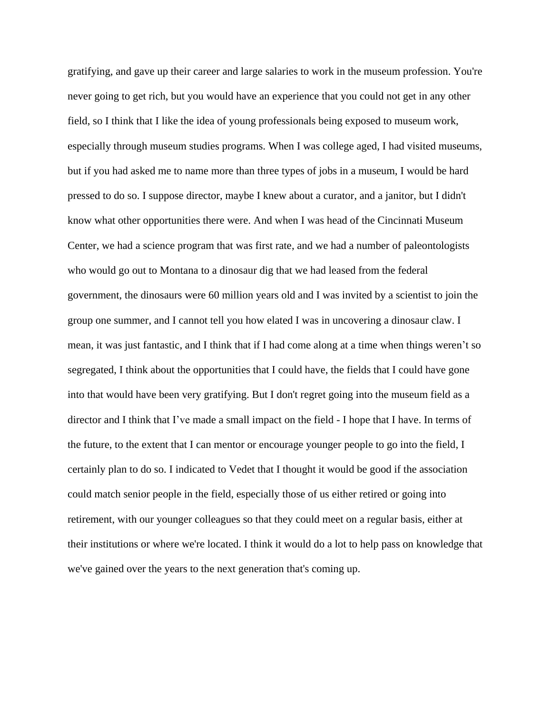gratifying, and gave up their career and large salaries to work in the museum profession. You're never going to get rich, but you would have an experience that you could not get in any other field, so I think that I like the idea of young professionals being exposed to museum work, especially through museum studies programs. When I was college aged, I had visited museums, but if you had asked me to name more than three types of jobs in a museum, I would be hard pressed to do so. I suppose director, maybe I knew about a curator, and a janitor, but I didn't know what other opportunities there were. And when I was head of the Cincinnati Museum Center, we had a science program that was first rate, and we had a number of paleontologists who would go out to Montana to a dinosaur dig that we had leased from the federal government, the dinosaurs were 60 million years old and I was invited by a scientist to join the group one summer, and I cannot tell you how elated I was in uncovering a dinosaur claw. I mean, it was just fantastic, and I think that if I had come along at a time when things weren't so segregated, I think about the opportunities that I could have, the fields that I could have gone into that would have been very gratifying. But I don't regret going into the museum field as a director and I think that I've made a small impact on the field - I hope that I have. In terms of the future, to the extent that I can mentor or encourage younger people to go into the field, I certainly plan to do so. I indicated to Vedet that I thought it would be good if the association could match senior people in the field, especially those of us either retired or going into retirement, with our younger colleagues so that they could meet on a regular basis, either at their institutions or where we're located. I think it would do a lot to help pass on knowledge that we've gained over the years to the next generation that's coming up.